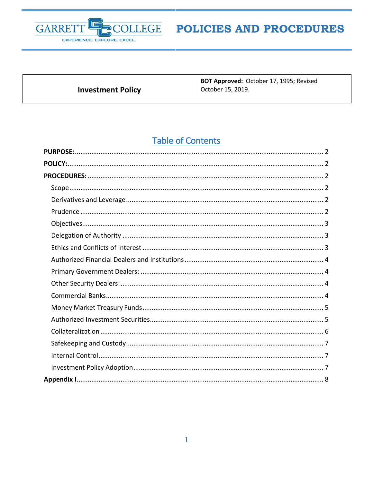

**Investment Policy** 

BOT Approved: October 17, 1995; Revised October 15, 2019.

## **Table of Contents**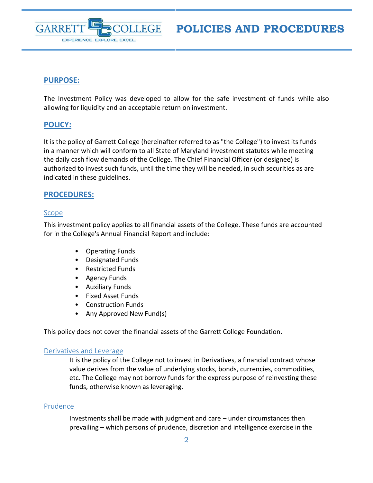

## <span id="page-1-0"></span>**PURPOSE:**

The Investment Policy was developed to allow for the safe investment of funds while also allowing for liquidity and an acceptable return on investment.

#### <span id="page-1-1"></span>**POLICY:**

It is the policy of Garrett College (hereinafter referred to as "the College") to invest its funds in a manner which will conform to all State of Maryland investment statutes while meeting the daily cash flow demands of the College. The Chief Financial Officer (or designee) is authorized to invest such funds, until the time they will be needed, in such securities as are indicated in these guidelines.

#### <span id="page-1-2"></span>**PROCEDURES:**

#### <span id="page-1-3"></span>Scope

This investment policy applies to all financial assets of the College. These funds are accounted for in the College's Annual Financial Report and include:

- Operating Funds
- Designated Funds
- Restricted Funds
- Agency Funds
- Auxiliary Funds
- Fixed Asset Funds
- Construction Funds
- Any Approved New Fund(s)

This policy does not cover the financial assets of the Garrett College Foundation.

#### <span id="page-1-4"></span>Derivatives and Leverage

It is the policy of the College not to invest in Derivatives, a financial contract whose value derives from the value of underlying stocks, bonds, currencies, commodities, etc. The College may not borrow funds for the express purpose of reinvesting these funds, otherwise known as leveraging.

#### <span id="page-1-5"></span>Prudence

Investments shall be made with judgment and care – under circumstances then prevailing – which persons of prudence, discretion and intelligence exercise in the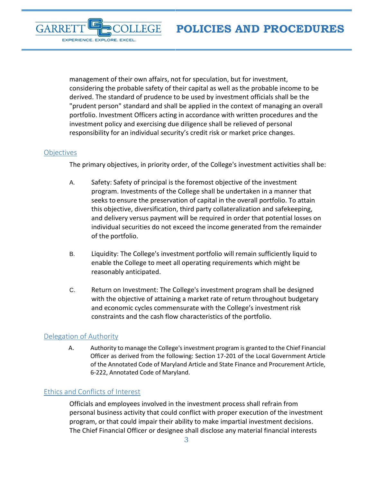

management of their own affairs, not for speculation, but for investment, considering the probable safety of their capital as well as the probable income to be derived. The standard of prudence to be used by investment officials shall be the "prudent person" standard and shall be applied in the context of managing an overall portfolio. Investment Officers acting in accordance with written procedures and the investment policy and exercising due diligence shall be relieved of personal responsibility for an individual security's credit risk or market price changes.

## <span id="page-2-0"></span>**Objectives**

The primary objectives, in priority order, of the College's investment activities shall be:

- A. Safety: Safety of principal is the foremost objective of the investment program. Investments of the College shall be undertaken in a manner that seeks to ensure the preservation of capital in the overall portfolio. To attain this objective, diversification, third party collateralization and safekeeping, and delivery versus payment will be required in order that potential losses on individual securities do not exceed the income generated from the remainder of the portfolio.
- B. Liquidity: The College's investment portfolio will remain sufficiently liquid to enable the College to meet all operating requirements which might be reasonably anticipated.
- C. Return on Investment: The College's investment program shall be designed with the objective of attaining a market rate of return throughout budgetary and economic cycles commensurate with the College's investment risk constraints and the cash flow characteristics of the portfolio.

## <span id="page-2-1"></span>Delegation of Authority

A. Authority to manage the College's investment program is granted to the Chief Financial Officer as derived from the following: Section 17-201 of the Local Government Article of the Annotated Code of Maryland Article and State Finance and Procurement Article, 6-222, Annotated Code of Maryland.

## <span id="page-2-2"></span>Ethics and Conflicts of Interest

Officials and employees involved in the investment process shall refrain from personal business activity that could conflict with proper execution of the investment program, or that could impair their ability to make impartial investment decisions. The Chief Financial Officer or designee shall disclose any material financial interests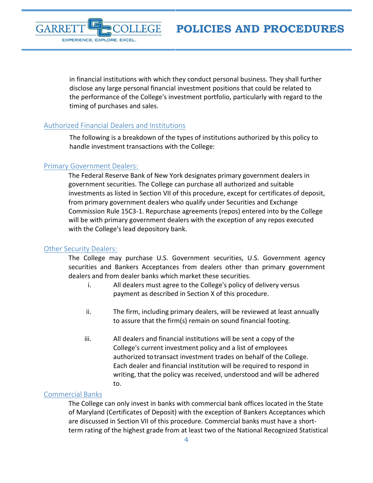**GARRE** EXPERIENCE. EXPLORE. EXCEL.

> in financial institutions with which they conduct personal business. They shall further disclose any large personal financial investment positions that could be related to the performance of the College's investment portfolio, particularly with regard to the timing of purchases and sales.

## <span id="page-3-0"></span>Authorized Financial Dealers and Institutions

The following is a breakdown of the types of institutions authorized by this policy to handle investment transactions with the College:

#### <span id="page-3-1"></span>Primary Government Dealers:

The Federal Reserve Bank of New York designates primary government dealers in government securities. The College can purchase all authorized and suitable investments as listed in Section VII of this procedure, except for certificates of deposit, from primary government dealers who qualify under Securities and Exchange Commission Rule 15C3-1. Repurchase agreements (repos) entered into by the College will be with primary government dealers with the exception of any repos executed with the College's lead depository bank.

#### <span id="page-3-2"></span>Other Security Dealers:

The College may purchase U.S. Government securities, U.S. Government agency securities and Bankers Acceptances from dealers other than primary government dealers and from dealer banks which market these securities.

- i. All dealers must agree to the College's policy of delivery versus payment as described in Section X of this procedure.
- ii. The firm, including primary dealers, will be reviewed at least annually to assure that the firm(s) remain on sound financial footing.
- iii. All dealers and financial institutions will be sent a copy of the College's current investment policy and a list of employees authorized totransact investment trades on behalf of the College. Each dealer and financial institution will be required to respond in writing, that the policy was received, understood and will be adhered to.

#### <span id="page-3-3"></span>Commercial Banks

The College can only invest in banks with commercial bank offices located in the State of Maryland (Certificates of Deposit) with the exception of Bankers Acceptances which are discussed in Section VII of this procedure. Commercial banks must have a shortterm rating of the highest grade from at least two of the National Recognized Statistical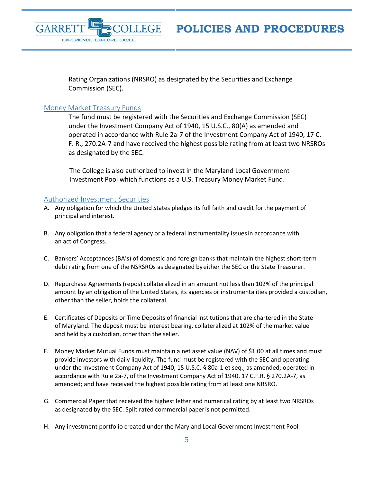

Rating Organizations (NRSRO) as designated by the Securities and Exchange Commission (SEC).

## <span id="page-4-0"></span>Money Market Treasury Funds

The fund must be registered with the Securities and Exchange Commission (SEC) under the Investment Company Act of 1940, 15 U.S.C., 80(A) as amended and operated in accordance with Rule 2a-7 of the Investment Company Act of 1940, 17 C. F. R., 270.2A-7 and have received the highest possible rating from at least two NRSROs as designated by the SEC.

The College is also authorized to invest in the Maryland Local Government Investment Pool which functions as a U.S. Treasury Money Market Fund.

#### <span id="page-4-1"></span>Authorized Investment Securities

- A. Any obligation for which the United States pledges its full faith and credit forthe payment of principal and interest.
- B. Any obligation that a federal agency or a federal instrumentality issuesin accordance with an act of Congress.
- C. Bankers' Acceptances (BA's) of domestic and foreign banks that maintain the highest short-term debt rating from one of the NSRSROs as designated byeither the SEC or the State Treasurer.
- D. Repurchase Agreements (repos) collateralized in an amount not less than 102% of the principal amount by an obligation of the United States, its agencies or instrumentalities provided a custodian, other than the seller, holds the collateral.
- E. Certificates of Deposits or Time Deposits of financial institutions that are chartered in the State of Maryland. The deposit must be interest bearing, collateralized at 102% of the market value and held by a custodian, otherthan the seller.
- F. Money Market Mutual Funds must maintain a net asset value (NAV) of \$1.00 at all times and must provide investors with daily liquidity. The fund must be registered with the SEC and operating under the Investment Company Act of 1940, 15 U.S.C. § 80a-1 et seq., as amended; operated in accordance with Rule 2a-7, of the Investment Company Act of 1940, 17 C.F.R. § 270.2A-7, as amended; and have received the highest possible rating from at least one NRSRO.
- G. Commercial Paper that received the highest letter and numerical rating by at least two NRSROs as designated by the SEC. Split rated commercial paperis not permitted.
- H. Any investment portfolio created under the Maryland Local Government Investment Pool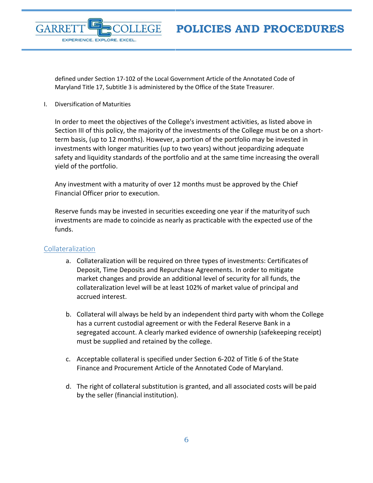

defined under Section 17-102 of the Local Government Article of the Annotated Code of Maryland Title 17, Subtitle 3 is administered by the Office of the State Treasurer.

I. Diversification of Maturities

In order to meet the objectives of the College's investment activities, as listed above in Section III of this policy, the majority of the investments of the College must be on a shortterm basis, (up to 12 months). However, a portion of the portfolio may be invested in investments with longer maturities (up to two years) without jeopardizing adequate safety and liquidity standards of the portfolio and at the same time increasing the overall yield of the portfolio.

Any investment with a maturity of over 12 months must be approved by the Chief Financial Officer prior to execution.

Reserve funds may be invested in securities exceeding one year if the maturityof such investments are made to coincide as nearly as practicable with the expected use of the funds.

## <span id="page-5-0"></span>Collateralization

- a. Collateralization will be required on three types of investments: Certificates of Deposit, Time Deposits and Repurchase Agreements. In order to mitigate market changes and provide an additional level of security for all funds, the collateralization level will be at least 102% of market value of principal and accrued interest.
- b. Collateral will always be held by an independent third party with whom the College has a current custodial agreement or with the Federal Reserve Bank in a segregated account. A clearly marked evidence of ownership (safekeeping receipt) must be supplied and retained by the college.
- c. Acceptable collateral is specified under Section 6-202 of Title 6 of the State Finance and Procurement Article of the Annotated Code of Maryland.
- d. The right of collateral substitution is granted, and all associated costs will be paid by the seller (financial institution).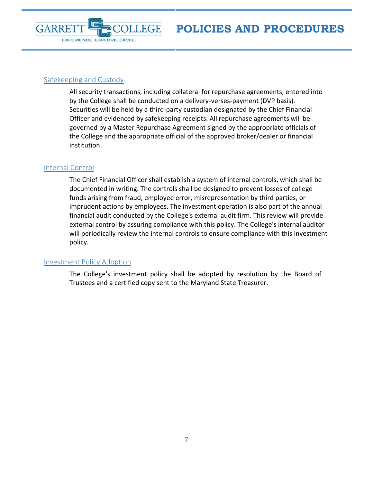

## <span id="page-6-0"></span>Safekeeping and Custody

All security transactions, including collateral for repurchase agreements, entered into by the College shall be conducted on a delivery-verses-payment (DVP basis). Securities will be held by a third-party custodian designated by the Chief Financial Officer and evidenced by safekeeping receipts. All repurchase agreements will be governed by a Master Repurchase Agreement signed by the appropriate officials of the College and the appropriate official of the approved broker/dealer or financial institution.

## <span id="page-6-1"></span>Internal Control

The Chief Financial Officer shall establish a system of internal controls, which shall be documented in writing. The controls shall be designed to prevent losses of college funds arising from fraud, employee error, misrepresentation by third parties, or imprudent actions by employees. The investment operation is also part of the annual financial audit conducted by the College's external audit firm. This review will provide external control by assuring compliance with this policy. The College's internal auditor will periodically review the internal controls to ensure compliance with this investment policy.

## <span id="page-6-2"></span>Investment Policy Adoption

The College's investment policy shall be adopted by resolution by the Board of Trustees and a certified copy sent to the Maryland State Treasurer.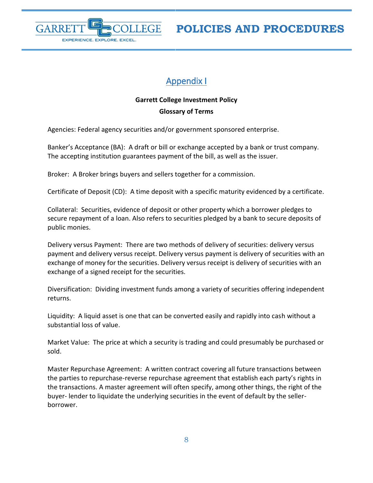

## Appendix I

### **Garrett College Investment Policy**

#### **Glossary of Terms**

<span id="page-7-0"></span>Agencies: Federal agency securities and/or government sponsored enterprise.

Banker's Acceptance (BA): A draft or bill or exchange accepted by a bank or trust company. The accepting institution guarantees payment of the bill, as well as the issuer.

Broker: A Broker brings buyers and sellers together for a commission.

Certificate of Deposit (CD): A time deposit with a specific maturity evidenced by a certificate.

Collateral: Securities, evidence of deposit or other property which a borrower pledges to secure repayment of a loan. Also refers to securities pledged by a bank to secure deposits of public monies.

Delivery versus Payment: There are two methods of delivery of securities: delivery versus payment and delivery versus receipt. Delivery versus payment is delivery of securities with an exchange of money for the securities. Delivery versus receipt is delivery of securities with an exchange of a signed receipt for the securities.

Diversification: Dividing investment funds among a variety of securities offering independent returns.

Liquidity: A liquid asset is one that can be converted easily and rapidly into cash without a substantial loss of value.

Market Value: The price at which a security is trading and could presumably be purchased or sold.

Master Repurchase Agreement: A written contract covering all future transactions between the parties to repurchase-reverse repurchase agreement that establish each party's rights in the transactions. A master agreement will often specify, among other things, the right of the buyer- lender to liquidate the underlying securities in the event of default by the sellerborrower.